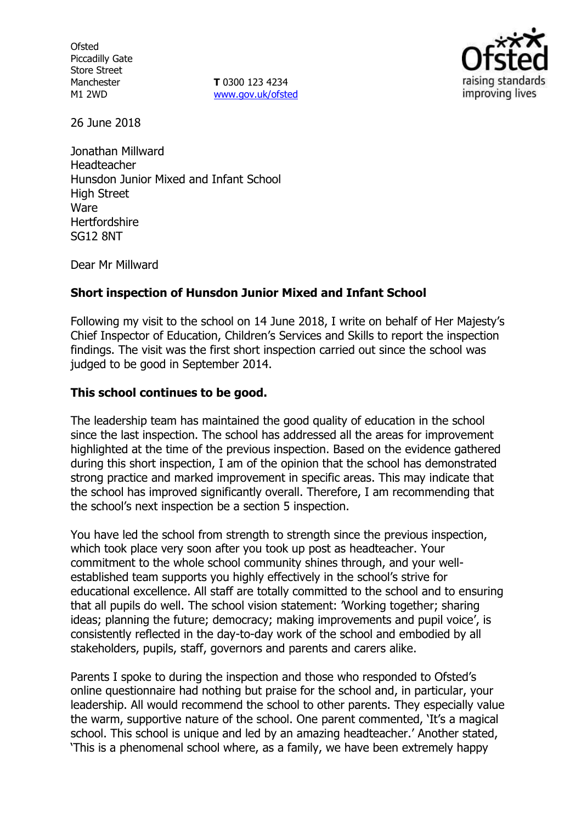**Ofsted** Piccadilly Gate Store Street Manchester M1 2WD

**T** 0300 123 4234 www.gov.uk/ofsted



26 June 2018

Jonathan Millward Headteacher Hunsdon Junior Mixed and Infant School High Street Ware **Hertfordshire** SG12 8NT

Dear Mr Millward

## **Short inspection of Hunsdon Junior Mixed and Infant School**

Following my visit to the school on 14 June 2018, I write on behalf of Her Majesty's Chief Inspector of Education, Children's Services and Skills to report the inspection findings. The visit was the first short inspection carried out since the school was judged to be good in September 2014.

## **This school continues to be good.**

The leadership team has maintained the good quality of education in the school since the last inspection. The school has addressed all the areas for improvement highlighted at the time of the previous inspection. Based on the evidence gathered during this short inspection, I am of the opinion that the school has demonstrated strong practice and marked improvement in specific areas. This may indicate that the school has improved significantly overall. Therefore, I am recommending that the school's next inspection be a section 5 inspection.

You have led the school from strength to strength since the previous inspection, which took place very soon after you took up post as headteacher. Your commitment to the whole school community shines through, and your wellestablished team supports you highly effectively in the school's strive for educational excellence. All staff are totally committed to the school and to ensuring that all pupils do well. The school vision statement: 'Working together; sharing ideas; planning the future; democracy; making improvements and pupil voice', is consistently reflected in the day-to-day work of the school and embodied by all stakeholders, pupils, staff, governors and parents and carers alike.

Parents I spoke to during the inspection and those who responded to Ofsted's online questionnaire had nothing but praise for the school and, in particular, your leadership. All would recommend the school to other parents. They especially value the warm, supportive nature of the school. One parent commented, 'It's a magical school. This school is unique and led by an amazing headteacher.' Another stated, 'This is a phenomenal school where, as a family, we have been extremely happy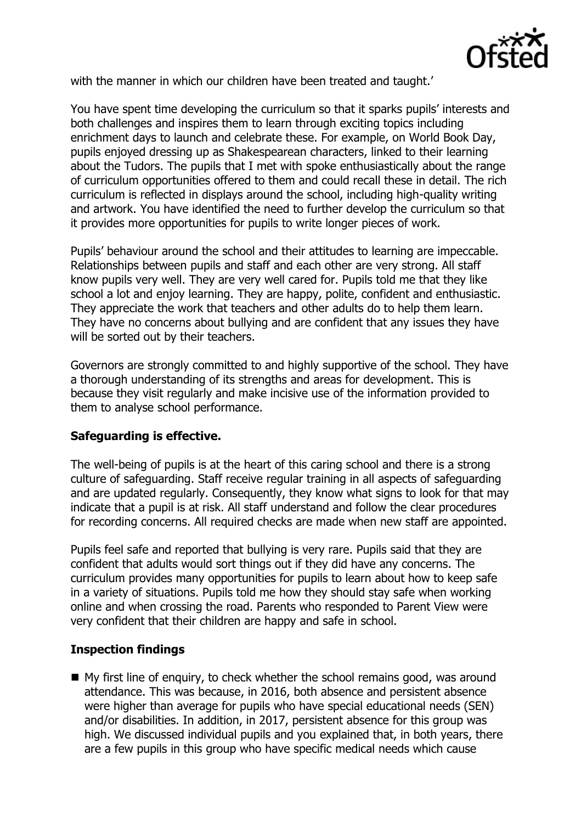

with the manner in which our children have been treated and taught.'

You have spent time developing the curriculum so that it sparks pupils' interests and both challenges and inspires them to learn through exciting topics including enrichment days to launch and celebrate these. For example, on World Book Day, pupils enjoyed dressing up as Shakespearean characters, linked to their learning about the Tudors. The pupils that I met with spoke enthusiastically about the range of curriculum opportunities offered to them and could recall these in detail. The rich curriculum is reflected in displays around the school, including high-quality writing and artwork. You have identified the need to further develop the curriculum so that it provides more opportunities for pupils to write longer pieces of work.

Pupils' behaviour around the school and their attitudes to learning are impeccable. Relationships between pupils and staff and each other are very strong. All staff know pupils very well. They are very well cared for. Pupils told me that they like school a lot and enjoy learning. They are happy, polite, confident and enthusiastic. They appreciate the work that teachers and other adults do to help them learn. They have no concerns about bullying and are confident that any issues they have will be sorted out by their teachers.

Governors are strongly committed to and highly supportive of the school. They have a thorough understanding of its strengths and areas for development. This is because they visit regularly and make incisive use of the information provided to them to analyse school performance.

## **Safeguarding is effective.**

The well-being of pupils is at the heart of this caring school and there is a strong culture of safeguarding. Staff receive regular training in all aspects of safeguarding and are updated regularly. Consequently, they know what signs to look for that may indicate that a pupil is at risk. All staff understand and follow the clear procedures for recording concerns. All required checks are made when new staff are appointed.

Pupils feel safe and reported that bullying is very rare. Pupils said that they are confident that adults would sort things out if they did have any concerns. The curriculum provides many opportunities for pupils to learn about how to keep safe in a variety of situations. Pupils told me how they should stay safe when working online and when crossing the road. Parents who responded to Parent View were very confident that their children are happy and safe in school.

## **Inspection findings**

■ My first line of enguiry, to check whether the school remains good, was around attendance. This was because, in 2016, both absence and persistent absence were higher than average for pupils who have special educational needs (SEN) and/or disabilities. In addition, in 2017, persistent absence for this group was high. We discussed individual pupils and you explained that, in both years, there are a few pupils in this group who have specific medical needs which cause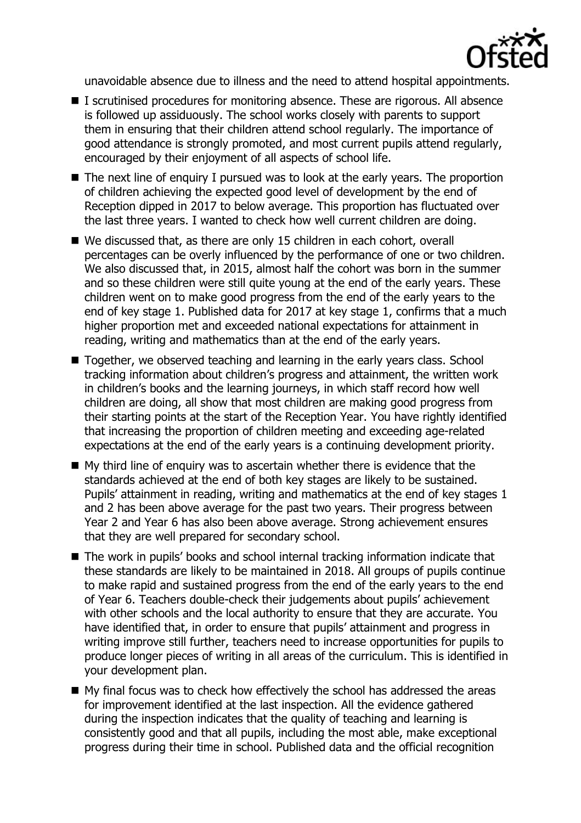

unavoidable absence due to illness and the need to attend hospital appointments.

- I scrutinised procedures for monitoring absence. These are rigorous. All absence is followed up assiduously. The school works closely with parents to support them in ensuring that their children attend school regularly. The importance of good attendance is strongly promoted, and most current pupils attend regularly, encouraged by their enjoyment of all aspects of school life.
- The next line of enquiry I pursued was to look at the early years. The proportion of children achieving the expected good level of development by the end of Reception dipped in 2017 to below average. This proportion has fluctuated over the last three years. I wanted to check how well current children are doing.
- We discussed that, as there are only 15 children in each cohort, overall percentages can be overly influenced by the performance of one or two children. We also discussed that, in 2015, almost half the cohort was born in the summer and so these children were still quite young at the end of the early years. These children went on to make good progress from the end of the early years to the end of key stage 1. Published data for 2017 at key stage 1, confirms that a much higher proportion met and exceeded national expectations for attainment in reading, writing and mathematics than at the end of the early years.
- Together, we observed teaching and learning in the early years class. School tracking information about children's progress and attainment, the written work in children's books and the learning journeys, in which staff record how well children are doing, all show that most children are making good progress from their starting points at the start of the Reception Year. You have rightly identified that increasing the proportion of children meeting and exceeding age-related expectations at the end of the early years is a continuing development priority.
- My third line of enquiry was to ascertain whether there is evidence that the standards achieved at the end of both key stages are likely to be sustained. Pupils' attainment in reading, writing and mathematics at the end of key stages 1 and 2 has been above average for the past two years. Their progress between Year 2 and Year 6 has also been above average. Strong achievement ensures that they are well prepared for secondary school.
- The work in pupils' books and school internal tracking information indicate that these standards are likely to be maintained in 2018. All groups of pupils continue to make rapid and sustained progress from the end of the early years to the end of Year 6. Teachers double-check their judgements about pupils' achievement with other schools and the local authority to ensure that they are accurate. You have identified that, in order to ensure that pupils' attainment and progress in writing improve still further, teachers need to increase opportunities for pupils to produce longer pieces of writing in all areas of the curriculum. This is identified in your development plan.
- My final focus was to check how effectively the school has addressed the areas for improvement identified at the last inspection. All the evidence gathered during the inspection indicates that the quality of teaching and learning is consistently good and that all pupils, including the most able, make exceptional progress during their time in school. Published data and the official recognition